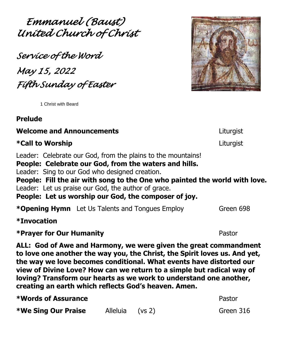*Emmanuel (Baust) United Church of Christ* 

*Service of the Word May 15, 2022 Fifth Sunday of Easter* 

<sup>1</sup> Christ with Beard

# **Prelude**

### **Welcome and Announcements** Liturgist

# **\*Call to Worship** Liturgist

Leader: Celebrate our God, from the plains to the mountains!

**People: Celebrate our God, from the waters and hills.**

Leader: Sing to our God who designed creation.

**People: Fill the air with song to the One who painted the world with love.** Leader: Let us praise our God, the author of grace.

**People: Let us worship our God, the composer of joy.**

| <b>*Opening Hymn</b> Let Us Talents and Tongues Employ | Green 698 |
|--------------------------------------------------------|-----------|
|--------------------------------------------------------|-----------|

**\*Invocation**

**\*Prayer for Our Humanity** Pastor

**ALL: God of Awe and Harmony, we were given the great commandment to love one another the way you, the Christ, the Spirit loves us. And yet, the way we love becomes conditional. What events have distorted our view of Divine Love? How can we return to a simple but radical way of loving? Transform our hearts as we work to understand one another, creating an earth which reflects God's heaven. Amen.**

| <b>*We Sing Our Praise</b> | Alleluia (vs 2) |  |
|----------------------------|-----------------|--|

**\*We Sing Our Praise** Alleluia (vs 2) Green 316



**\*Words of Assurance** Pastor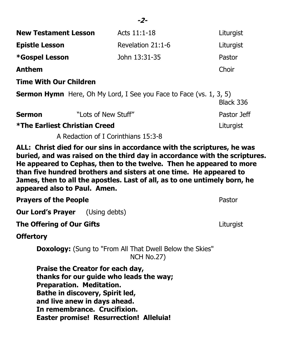| <b>New Testament Lesson</b>                                                                                                                                                                                                                                                                                                                                                                                     | Acts 11:1-18                                                              | Liturgist   |  |  |
|-----------------------------------------------------------------------------------------------------------------------------------------------------------------------------------------------------------------------------------------------------------------------------------------------------------------------------------------------------------------------------------------------------------------|---------------------------------------------------------------------------|-------------|--|--|
| <b>Epistle Lesson</b>                                                                                                                                                                                                                                                                                                                                                                                           | Revelation 21:1-6                                                         | Liturgist   |  |  |
| *Gospel Lesson                                                                                                                                                                                                                                                                                                                                                                                                  | John 13:31-35                                                             | Pastor      |  |  |
| <b>Anthem</b>                                                                                                                                                                                                                                                                                                                                                                                                   |                                                                           | Choir       |  |  |
| <b>Time With Our Children</b>                                                                                                                                                                                                                                                                                                                                                                                   |                                                                           |             |  |  |
|                                                                                                                                                                                                                                                                                                                                                                                                                 | <b>Sermon Hymn</b> Here, Oh My Lord, I See you Face to Face (vs. 1, 3, 5) | Black 336   |  |  |
| <b>Sermon</b>                                                                                                                                                                                                                                                                                                                                                                                                   | "Lots of New Stuff"                                                       | Pastor Jeff |  |  |
| <b>*The Earliest Christian Creed</b>                                                                                                                                                                                                                                                                                                                                                                            |                                                                           | Liturgist   |  |  |
| A Redaction of I Corinthians 15:3-8                                                                                                                                                                                                                                                                                                                                                                             |                                                                           |             |  |  |
| ALL: Christ died for our sins in accordance with the scriptures, he was<br>buried, and was raised on the third day in accordance with the scriptures.<br>He appeared to Cephas, then to the twelve. Then he appeared to more<br>than five hundred brothers and sisters at one time. He appeared to<br>James, then to all the apostles. Last of all, as to one untimely born, he<br>appeared also to Paul. Amen. |                                                                           |             |  |  |
| <b>Prayers of the People</b>                                                                                                                                                                                                                                                                                                                                                                                    |                                                                           | Pastor      |  |  |

**Our Lord's Prayer** (Using debts)

**The Offering of Our Gifts** Liturgist

**Offertory**

**Doxology:** (Sung to "From All That Dwell Below the Skies" NCH No.27)

**Praise the Creator for each day, thanks for our guide who leads the way; Preparation. Meditation. Bathe in discovery, Spirit led, and live anew in days ahead. In remembrance. Crucifixion. Easter promise! Resurrection! Alleluia!**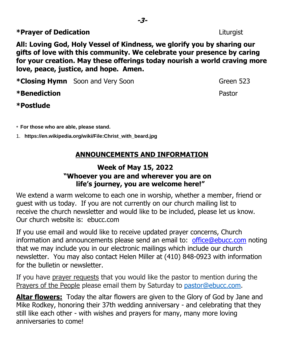**All: Loving God, Holy Vessel of Kindness, we glorify you by sharing our gifts of love with this community. We celebrate your presence by caring for your creation. May these offerings today nourish a world craving more love, peace, justice, and hope. Amen.**

**\*Closing Hymn** Soon and Very Soon **Green 523** 

# **\*Benediction** Pastor

### **\*Postlude**

\* **For those who are able, please stand.**

1. **https://en.wikipedia.org/wiki/File:Christ\_with\_beard.jpg**

# **ANNOUNCEMENTS AND INFORMATION**

## **Week of May 15, 2022 "Whoever you are and wherever you are on life's journey, you are welcome here!"**

We extend a warm welcome to each one in worship, whether a member, friend or guest with us today. If you are not currently on our church mailing list to receive the church newsletter and would like to be included, please let us know. Our church website is: ebucc.com

If you use email and would like to receive updated prayer concerns, Church information and announcements please send an email to: office@ebucc.com noting that we may include you in our electronic mailings which include our church newsletter. You may also contact Helen Miller at (410) 848-0923 with information for the bulletin or newsletter.

If you have prayer requests that you would like the pastor to mention during the Prayers of the People please email them by Saturday to pastor@ebucc.com.

**Altar flowers:** Today the altar flowers are given to the Glory of God by Jane and Mike Rodkey, honoring their 37th wedding anniversary - and celebrating that they still like each other - with wishes and prayers for many, many more loving anniversaries to come!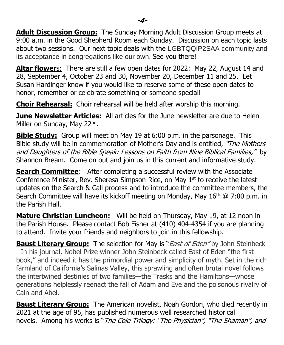**Adult Discussion Group:** The Sunday Morning Adult Discussion Group meets at 9:00 a.m. in the Good Shepherd Room each Sunday. Discussion on each topic lasts about two sessions. Our next topic deals with the LGBTQQIP2SAA community and its acceptance in congregations like our own. See you there!

**Altar flower**s: There are still a few open dates for 2022: May 22, August 14 and 28, September 4, October 23 and 30, November 20, December 11 and 25. Let Susan Hardinger know if you would like to reserve some of these open dates to honor, remember or celebrate something or someone special!

**Choir Rehearsal:** Choir rehearsal will be held after worship this morning.

**June Newsletter Articles:** All articles for the June newsletter are due to Helen Miller on Sunday, May 22nd.

**Bible Study:** Group will meet on May 19 at 6:00 p.m. in the parsonage. This Bible study will be in commemoration of Mother's Day and is entitled, "The Mothers and Daughters of the Bible Speak: Lessons on Faith from Nine Biblical Families," by Shannon Bream. Come on out and join us in this current and informative study.

**Search Committee**: After completing a successful review with the Associate Conference Minister, Rev. Sheresa Simpson-Rice, on May 1<sup>st</sup> to receive the latest updates on the Search & Call process and to introduce the committee members, the Search Committee will have its kickoff meeting on Monday, May  $16<sup>th</sup>$  @ 7:00 p.m. in the Parish Hall.

**Mature Christian Luncheon:** Will be held on Thursday, May 19, at 12 noon in the Parish House. Please contact Bob Fisher at (410) 404-4354 if you are planning to attend. Invite your friends and neighbors to join in this fellowship.

**Baust Literary Group:** The selection for May is "*East of Eden*" by John Steinbeck - In his journal, Nobel Prize winner John Steinbeck called East of Eden "the first book," and indeed it has the primordial power and simplicity of myth. Set in the rich farmland of California's Salinas Valley, this sprawling and often brutal novel follows the intertwined destinies of two families—the Trasks and the Hamiltons—whose generations helplessly reenact the fall of Adam and Eve and the poisonous rivalry of Cain and Abel.

**Baust Literary Group:** The American novelist, Noah Gordon, who died recently in 2021 at the age of 95, has published numerous well researched historical novels. Among his works is "The Cole Trilogy: "The Physician", "The Shaman", and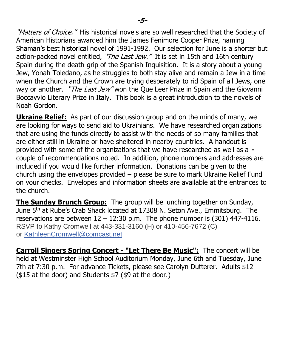"Matters of Choice." His historical novels are so well researched that the Society of American Historians awarded him the James Fenimore Cooper Prize, naming Shaman's best historical novel of 1991-1992. Our selection for June is a shorter but action-packed novel entitled, "The Last Jew." It is set in 15th and 16th century Spain during the death-grip of the Spanish Inquisition. It is a story about a young Jew, Yonah Toledano, as he struggles to both stay alive and remain a Jew in a time when the Church and the Crown are trying desperately to rid Spain of all Jews, one way or another. "*The Last Jew*" won the Que Leer Prize in Spain and the Giovanni Boccavvio Literary Prize in Italy. This book is a great introduction to the novels of Noah Gordon.

**Ukraine Relief:** As part of our discussion group and on the minds of many, we are looking for ways to send aid to Ukrainians. We have researched organizations that are using the funds directly to assist with the needs of so many families that are either still in Ukraine or have sheltered in nearby countries. A handout is provided with some of the organizations that we have researched as well as a  couple of recommendations noted. In addition, phone numbers and addresses are included if you would like further information. Donations can be given to the church using the envelopes provided – please be sure to mark Ukraine Relief Fund on your checks. Envelopes and information sheets are available at the entrances to the church.

**The Sunday Brunch Group:** The group will be lunching together on Sunday, June 5<sup>th</sup> at Rube's Crab Shack located at 17308 N. Seton Ave., Emmitsburg. The reservations are between  $12 - 12:30$  p.m. The phone number is (301) 447-4116. RSVP to Kathy Cromwell at 443-331-3160 (H) or 410-456-7672 (C) or [KathleenCromwell@comcast.net](mailto:KathleenCromwell@comcast.net)

**Carroll Singers Spring Concert - "Let There Be Music":** The concert will be held at Westminster High School Auditorium Monday, June 6th and Tuesday, June 7th at 7:30 p.m. For advance Tickets, please see Carolyn Dutterer. Adults \$12 (\$15 at the door) and Students \$7 (\$9 at the door.)